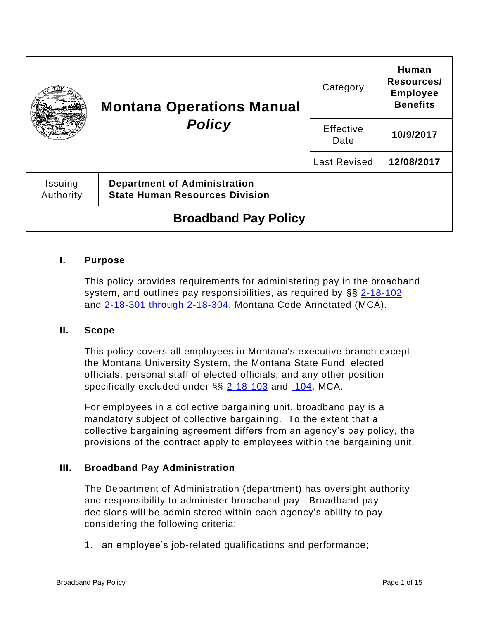|                             | <b>Montana Operations Manual</b><br><b>Policy</b>                            | Category            | Human<br>Resources/<br><b>Employee</b><br><b>Benefits</b> |
|-----------------------------|------------------------------------------------------------------------------|---------------------|-----------------------------------------------------------|
|                             |                                                                              | Effective<br>Date   | 10/9/2017                                                 |
|                             |                                                                              | <b>Last Revised</b> | 12/08/2017                                                |
| Issuing<br>Authority        | <b>Department of Administration</b><br><b>State Human Resources Division</b> |                     |                                                           |
| <b>Broadband Pay Policy</b> |                                                                              |                     |                                                           |

### **I. Purpose**

This policy provides requirements for administering pay in the broadband system, and outlines pay responsibilities, as required by §§ [2-18-102](http://leg.mt.gov/bills/mca/title_0020/chapter_0180/part_0010/section_0020/0020-0180-0010-0020.html) and [2-18-301 through 2-18-304,](http://leg.mt.gov/bills/mca/title_0020/chapter_0180/part_0030/sections_index.html) Montana Code Annotated (MCA).

#### **II. Scope**

This policy covers all employees in Montana's executive branch except the Montana University System, the Montana State Fund, elected officials, personal staff of elected officials, and any other position specifically excluded under  $\S\S 2$ -18-103 and  $-104$ , MCA.

For employees in a collective bargaining unit, broadband pay is a mandatory subject of collective bargaining. To the extent that a collective bargaining agreement differs from an agency's pay policy, the provisions of the contract apply to employees within the bargaining unit.

#### **III. Broadband Pay Administration**

The Department of Administration (department) has oversight authority and responsibility to administer broadband pay. Broadband pay decisions will be administered within each agency's ability to pay considering the following criteria:

1. an employee's job-related qualifications and performance;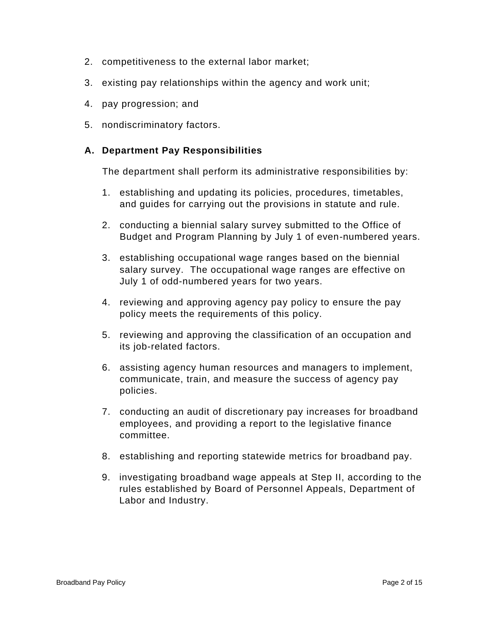- 2. competitiveness to the external labor market;
- 3. existing pay relationships within the agency and work unit;
- 4. pay progression; and
- 5. nondiscriminatory factors.

# **A. Department Pay Responsibilities**

The department shall perform its administrative responsibilities by:

- 1. establishing and updating its policies, procedures, timetables, and guides for carrying out the provisions in statute and rule.
- 2. conducting a biennial salary survey submitted to the Office of Budget and Program Planning by July 1 of even-numbered years.
- 3. establishing occupational wage ranges based on the biennial salary survey. The occupational wage ranges are effective on July 1 of odd-numbered years for two years.
- 4. reviewing and approving agency pay policy to ensure the pay policy meets the requirements of this policy.
- 5. reviewing and approving the classification of an occupation and its job-related factors.
- 6. assisting agency human resources and managers to implement, communicate, train, and measure the success of agency pay policies.
- 7. conducting an audit of discretionary pay increases for broadband employees, and providing a report to the legislative finance committee.
- 8. establishing and reporting statewide metrics for broadband pay.
- 9. investigating broadband wage appeals at Step II, according to the rules established by Board of Personnel Appeals, Department of Labor and Industry.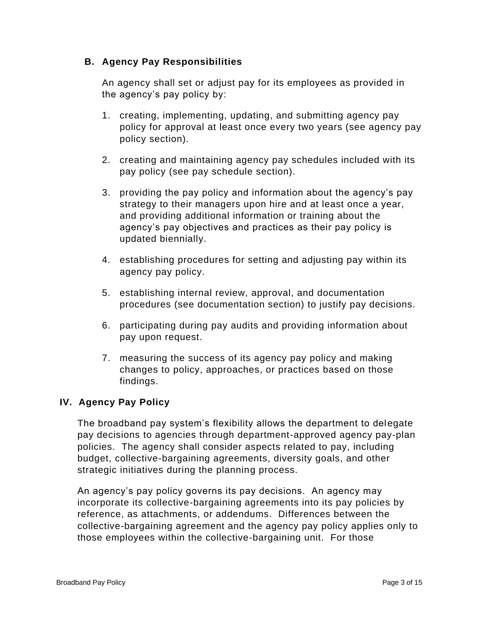# **B. Agency Pay Responsibilities**

An agency shall set or adjust pay for its employees as provided in the agency's pay policy by:

- 1. creating, implementing, updating, and submitting agency pay policy for approval at least once every two years (see agency pay policy section).
- 2. creating and maintaining agency pay schedules included with its pay policy (see pay schedule section).
- 3. providing the pay policy and information about the agency's pay strategy to their managers upon hire and at least once a year, and providing additional information or training about the agency's pay objectives and practices as their pay policy is updated biennially.
- 4. establishing procedures for setting and adjusting pay within its agency pay policy.
- 5. establishing internal review, approval, and documentation procedures (see documentation section) to justify pay decisions.
- 6. participating during pay audits and providing information about pay upon request.
- 7. measuring the success of its agency pay policy and making changes to policy, approaches, or practices based on those findings.

# **IV. Agency Pay Policy**

The broadband pay system's flexibility allows the department to delegate pay decisions to agencies through department-approved agency pay-plan policies. The agency shall consider aspects related to pay, including budget, collective-bargaining agreements, diversity goals, and other strategic initiatives during the planning process.

An agency's pay policy governs its pay decisions. An agency may incorporate its collective-bargaining agreements into its pay policies by reference, as attachments, or addendums. Differences between the collective-bargaining agreement and the agency pay policy applies only to those employees within the collective-bargaining unit. For those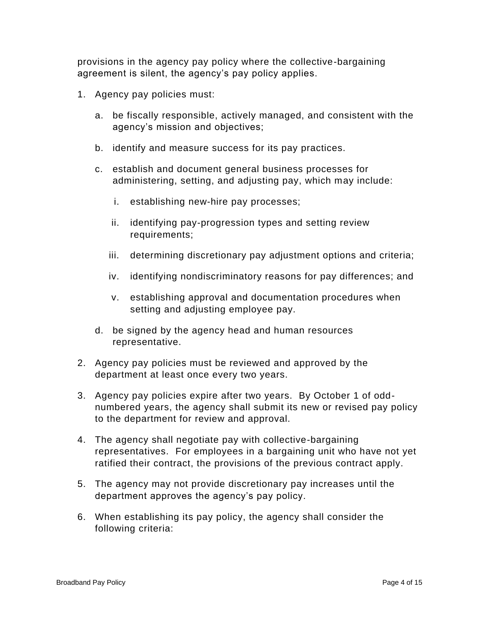provisions in the agency pay policy where the collective-bargaining agreement is silent, the agency's pay policy applies.

- 1. Agency pay policies must:
	- a. be fiscally responsible, actively managed, and consistent with the agency's mission and objectives;
	- b. identify and measure success for its pay practices.
	- c. establish and document general business processes for administering, setting, and adjusting pay, which may include:
		- i. establishing new-hire pay processes;
		- ii. identifying pay-progression types and setting review requirements;
		- iii. determining discretionary pay adjustment options and criteria;
		- iv. identifying nondiscriminatory reasons for pay differences; and
		- v. establishing approval and documentation procedures when setting and adjusting employee pay.
	- d. be signed by the agency head and human resources representative.
- 2. Agency pay policies must be reviewed and approved by the department at least once every two years.
- 3. Agency pay policies expire after two years. By October 1 of oddnumbered years, the agency shall submit its new or revised pay policy to the department for review and approval.
- 4. The agency shall negotiate pay with collective-bargaining representatives. For employees in a bargaining unit who have not yet ratified their contract, the provisions of the previous contract apply.
- 5. The agency may not provide discretionary pay increases until the department approves the agency's pay policy.
- 6. When establishing its pay policy, the agency shall consider the following criteria: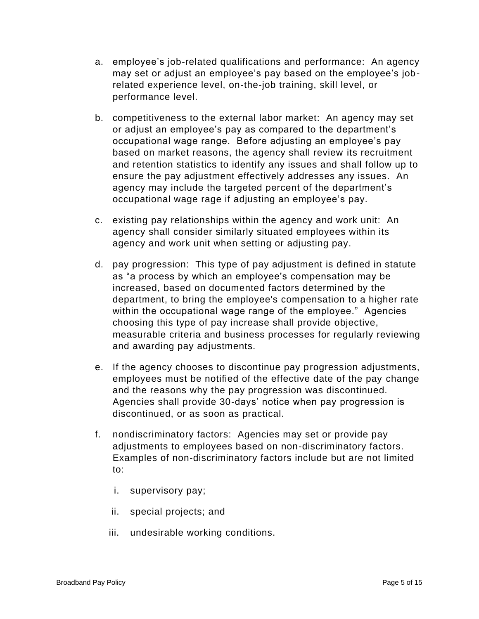- a. employee's job-related qualifications and performance: An agency may set or adjust an employee's pay based on the employee's jobrelated experience level, on-the-job training, skill level, or performance level.
- b. competitiveness to the external labor market: An agency may set or adjust an employee's pay as compared to the department's occupational wage range. Before adjusting an employee's pay based on market reasons, the agency shall review its recruitment and retention statistics to identify any issues and shall follow up to ensure the pay adjustment effectively addresses any issues. An agency may include the targeted percent of the department's occupational wage rage if adjusting an employee's pay.
- c. existing pay relationships within the agency and work unit: An agency shall consider similarly situated employees within its agency and work unit when setting or adjusting pay.
- d. pay progression: This type of pay adjustment is defined in statute as "a process by which an employee's compensation may be increased, based on documented factors determined by the department, to bring the employee's compensation to a higher rate within the occupational wage range of the employee." Agencies choosing this type of pay increase shall provide objective, measurable criteria and business processes for regularly reviewing and awarding pay adjustments.
- e. If the agency chooses to discontinue pay progression adjustments, employees must be notified of the effective date of the pay change and the reasons why the pay progression was discontinued. Agencies shall provide 30-days' notice when pay progression is discontinued, or as soon as practical.
- f. nondiscriminatory factors: Agencies may set or provide pay adjustments to employees based on non-discriminatory factors. Examples of non-discriminatory factors include but are not limited to:
	- i. supervisory pay;
	- ii. special projects; and
	- iii. undesirable working conditions.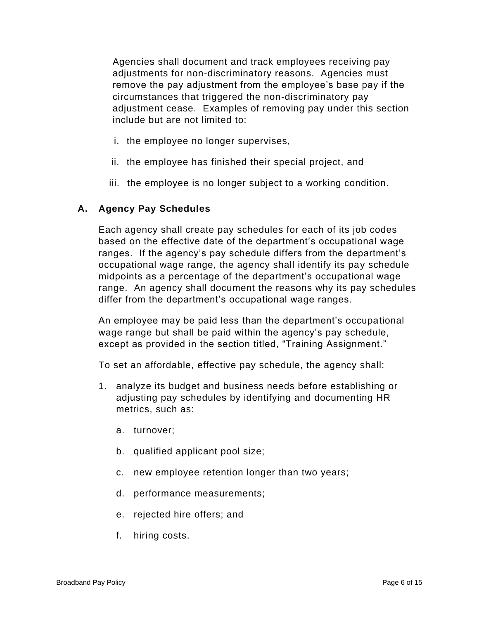Agencies shall document and track employees receiving pay adjustments for non-discriminatory reasons. Agencies must remove the pay adjustment from the employee's base pay if the circumstances that triggered the non-discriminatory pay adjustment cease. Examples of removing pay under this section include but are not limited to:

- i. the employee no longer supervises,
- ii. the employee has finished their special project, and
- iii. the employee is no longer subject to a working condition.

# **A. Agency Pay Schedules**

Each agency shall create pay schedules for each of its job codes based on the effective date of the department's occupational wage ranges. If the agency's pay schedule differs from the department's occupational wage range, the agency shall identify its pay schedule midpoints as a percentage of the department's occupational wage range. An agency shall document the reasons why its pay schedules differ from the department's occupational wage ranges.

An employee may be paid less than the department's occupational wage range but shall be paid within the agency's pay schedule, except as provided in the section titled, "Training Assignment."

To set an affordable, effective pay schedule, the agency shall:

- 1. analyze its budget and business needs before establishing or adjusting pay schedules by identifying and documenting HR metrics, such as:
	- a. turnover;
	- b. qualified applicant pool size;
	- c. new employee retention longer than two years;
	- d. performance measurements;
	- e. rejected hire offers; and
	- f. hiring costs.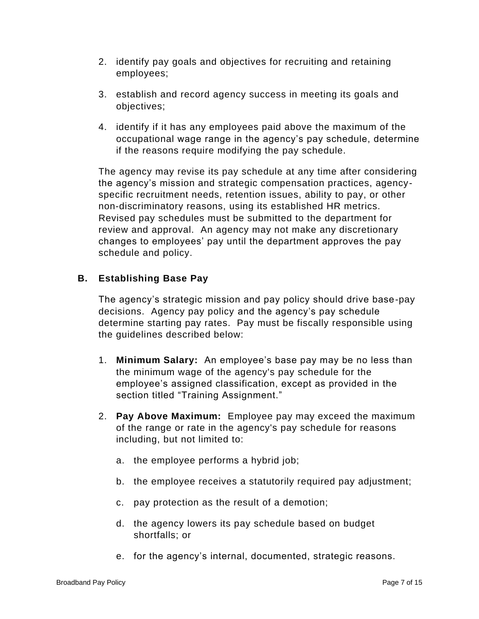- 2. identify pay goals and objectives for recruiting and retaining employees;
- 3. establish and record agency success in meeting its goals and objectives;
- 4. identify if it has any employees paid above the maximum of the occupational wage range in the agency's pay schedule, determine if the reasons require modifying the pay schedule.

The agency may revise its pay schedule at any time after considering the agency's mission and strategic compensation practices, agencyspecific recruitment needs, retention issues, ability to pay, or other non-discriminatory reasons, using its established HR metrics. Revised pay schedules must be submitted to the department for review and approval. An agency may not make any discretionary changes to employees' pay until the department approves the pay schedule and policy.

# **B. Establishing Base Pay**

The agency's strategic mission and pay policy should drive base-pay decisions. Agency pay policy and the agency's pay schedule determine starting pay rates. Pay must be fiscally responsible using the guidelines described below:

- 1. **Minimum Salary:** An employee's base pay may be no less than the minimum wage of the agency's pay schedule for the employee's assigned classification, except as provided in the section titled "Training Assignment."
- 2. **Pay Above Maximum:** Employee pay may exceed the maximum of the range or rate in the agency's pay schedule for reasons including, but not limited to:
	- a. the employee performs a hybrid job;
	- b. the employee receives a statutorily required pay adjustment;
	- c. pay protection as the result of a demotion;
	- d. the agency lowers its pay schedule based on budget shortfalls; or
	- e. for the agency's internal, documented, strategic reasons.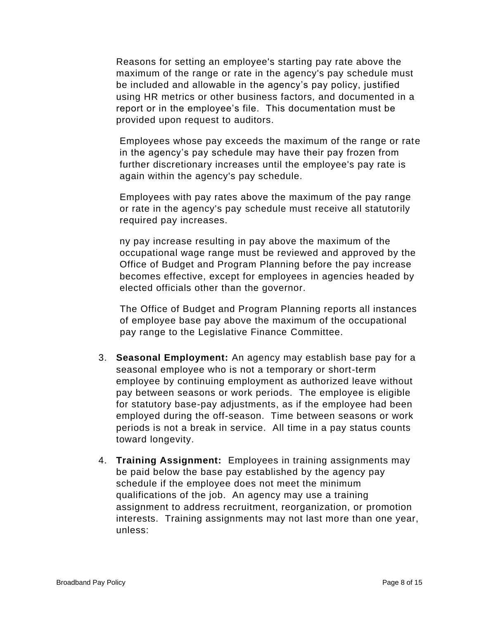Reasons for setting an employee's starting pay rate above the maximum of the range or rate in the agency's pay schedule must be included and allowable in the agency's pay policy, justified using HR metrics or other business factors, and documented in a report or in the employee's file. This documentation must be provided upon request to auditors.

Employees whose pay exceeds the maximum of the range or rate in the agency's pay schedule may have their pay frozen from further discretionary increases until the employee's pay rate is again within the agency's pay schedule.

Employees with pay rates above the maximum of the pay range or rate in the agency's pay schedule must receive all statutorily required pay increases.

ny pay increase resulting in pay above the maximum of the occupational wage range must be reviewed and approved by the Office of Budget and Program Planning before the pay increase becomes effective, except for employees in agencies headed by elected officials other than the governor.

The Office of Budget and Program Planning reports all instances of employee base pay above the maximum of the occupational pay range to the Legislative Finance Committee.

- 3. **Seasonal Employment:** An agency may establish base pay for a seasonal employee who is not a temporary or short-term employee by continuing employment as authorized leave without pay between seasons or work periods. The employee is eligible for statutory base-pay adjustments, as if the employee had been employed during the off-season. Time between seasons or work periods is not a break in service. All time in a pay status counts toward longevity.
- 4. **Training Assignment:** Employees in training assignments may be paid below the base pay established by the agency pay schedule if the employee does not meet the minimum qualifications of the job. An agency may use a training assignment to address recruitment, reorganization, or promotion interests. Training assignments may not last more than one year, unless: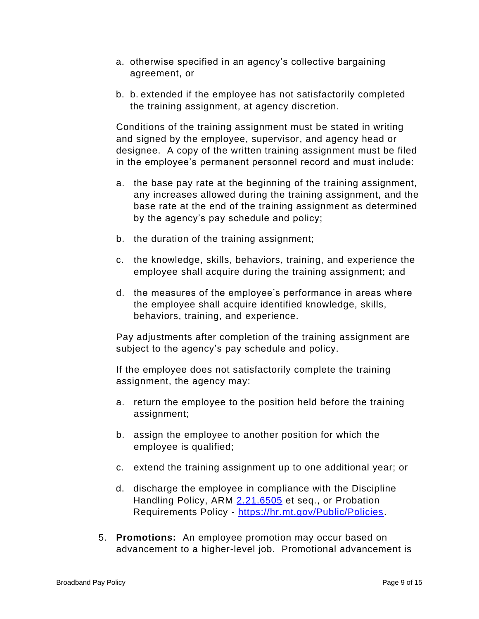- a. otherwise specified in an agency's collective bargaining agreement, or
- b. b. extended if the employee has not satisfactorily completed the training assignment, at agency discretion.

Conditions of the training assignment must be stated in writing and signed by the employee, supervisor, and agency head or designee. A copy of the written training assignment must be filed in the employee's permanent personnel record and must include:

- a. the base pay rate at the beginning of the training assignment, any increases allowed during the training assignment, and the base rate at the end of the training assignment as determined by the agency's pay schedule and policy;
- b. the duration of the training assignment;
- c. the knowledge, skills, behaviors, training, and experience the employee shall acquire during the training assignment; and
- d. the measures of the employee's performance in areas where the employee shall acquire identified knowledge, skills, behaviors, training, and experience.

Pay adjustments after completion of the training assignment are subject to the agency's pay schedule and policy.

If the employee does not satisfactorily complete the training assignment, the agency may:

- a. return the employee to the position held before the training assignment;
- b. assign the employee to another position for which the employee is qualified;
- c. extend the training assignment up to one additional year; or
- d. discharge the employee in compliance with the Discipline Handling Policy, ARM [2.21.6505](http://www.mtrules.org/gateway/RuleNo.asp?RN=2%2E21%2E6505) et seq., or Probation Requirements Policy - [https://hr.mt.gov/Public/Policies.](https://hr.mt.gov/Public/Policies)
- 5. **Promotions:** An employee promotion may occur based on advancement to a higher-level job. Promotional advancement is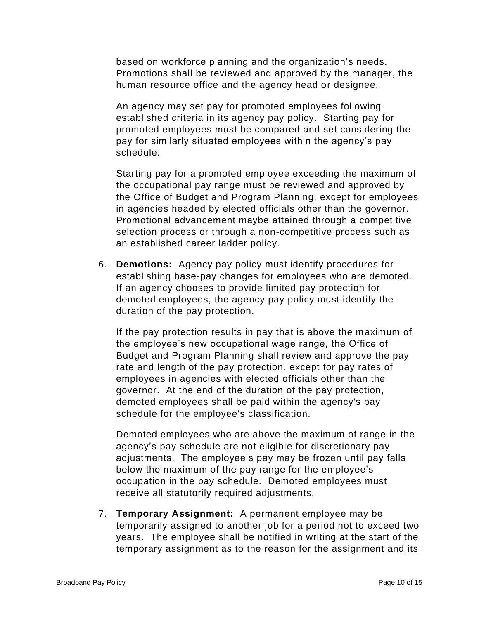based on workforce planning and the organization's needs. Promotions shall be reviewed and approved by the manager, the human resource office and the agency head or designee.

An agency may set pay for promoted employees following established criteria in its agency pay policy. Starting pay for promoted employees must be compared and set considering the pay for similarly situated employees within the agency's pay schedule.

Starting pay for a promoted employee exceeding the maximum of the occupational pay range must be reviewed and approved by the Office of Budget and Program Planning, except for employees in agencies headed by elected officials other than the governor. Promotional advancement maybe attained through a competitive selection process or through a non-competitive process such as an established career ladder policy.

6. **Demotions:** Agency pay policy must identify procedures for establishing base-pay changes for employees who are demoted. If an agency chooses to provide limited pay protection for demoted employees, the agency pay policy must identify the duration of the pay protection.

If the pay protection results in pay that is above the maximum of the employee's new occupational wage range, the Office of Budget and Program Planning shall review and approve the pay rate and length of the pay protection, except for pay rates of employees in agencies with elected officials other than the governor. At the end of the duration of the pay protection, demoted employees shall be paid within the agency's pay schedule for the employee's classification.

Demoted employees who are above the maximum of range in the agency's pay schedule are not eligible for discretionary pay adjustments. The employee's pay may be frozen until pay falls below the maximum of the pay range for the employee's occupation in the pay schedule. Demoted employees must receive all statutorily required adjustments.

7. **Temporary Assignment:** A permanent employee may be temporarily assigned to another job for a period not to exceed two years. The employee shall be notified in writing at the start of the temporary assignment as to the reason for the assignment and its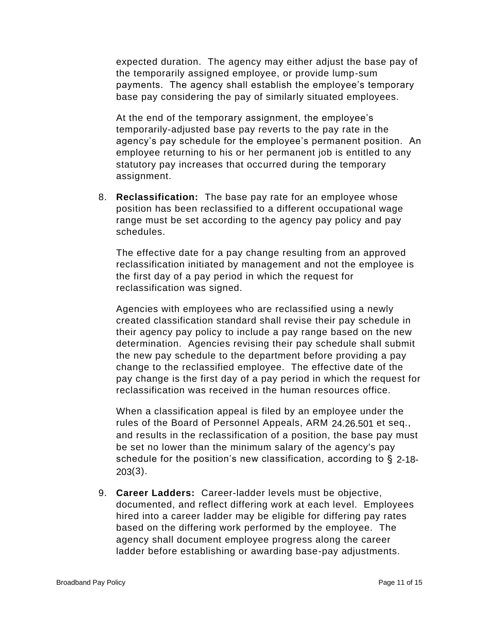expected duration. The agency may either adjust the base pay of the temporarily assigned employee, or provide lump-sum payments. The agency shall establish the employee's temporary base pay considering the pay of similarly situated employees.

At the end of the temporary assignment, the employee's temporarily-adjusted base pay reverts to the pay rate in the agency's pay schedule for the employee's permanent position. An employee returning to his or her permanent job is entitled to any statutory pay increases that occurred during the temporary assignment.

8. **Reclassification:** The base pay rate for an employee whose position has been reclassified to a different occupational wage range must be set according to the agency pay policy and pay schedules.

The effective date for a pay change resulting from an approved reclassification initiated by management and not the employee is the first day of a pay period in which the request for reclassification was signed.

Agencies with employees who are reclassified using a newly created classification standard shall revise their pay schedule in their agency pay policy to include a pay range based on the new determination. Agencies revising their pay schedule shall submit the new pay schedule to the department before providing a pay change to the reclassified employee. The effective date of the pay change is the first day of a pay period in which the request for reclassification was received in the human resources office.

When a classification appeal is filed by an employee under the rules of the Board of Personnel Appeals, ARM [24.26.501](http://www.mtrules.org/gateway/RuleNo.asp?RN=24%2E26%2E501) et seq., and results in the reclassification of a position, the base pay must be set no lower than the minimum salary of the agency's pay schedule for the position's new classification, according to § [2-18-](http://leg.mt.gov/bills/mca/title_0020/chapter_0180/part_0020/section_0030/0020-0180-0020-0030.html) [203\(](http://leg.mt.gov/bills/mca/title_0020/chapter_0180/part_0020/section_0030/0020-0180-0020-0030.html)3).

9. **Career Ladders:** Career-ladder levels must be objective, documented, and reflect differing work at each level. Employees hired into a career ladder may be eligible for differing pay rates based on the differing work performed by the employee. The agency shall document employee progress along the career ladder before establishing or awarding base-pay adjustments.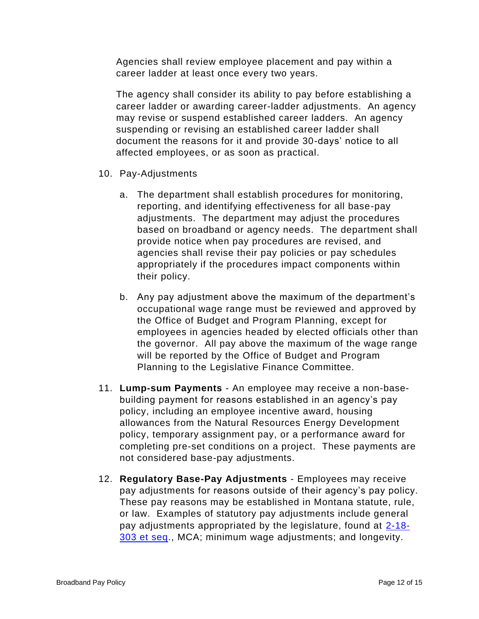Agencies shall review employee placement and pay within a career ladder at least once every two years.

The agency shall consider its ability to pay before establishing a career ladder or awarding career-ladder adjustments. An agency may revise or suspend established career ladders. An agency suspending or revising an established career ladder shall document the reasons for it and provide 30-days' notice to all affected employees, or as soon as practical.

- 10. Pay-Adjustments
	- a. The department shall establish procedures for monitoring, reporting, and identifying effectiveness for all base-pay adjustments. The department may adjust the procedures based on broadband or agency needs. The department shall provide notice when pay procedures are revised, and agencies shall revise their pay policies or pay schedules appropriately if the procedures impact components within their policy.
	- b. Any pay adjustment above the maximum of the department's occupational wage range must be reviewed and approved by the Office of Budget and Program Planning, except for employees in agencies headed by elected officials other than the governor. All pay above the maximum of the wage range will be reported by the Office of Budget and Program Planning to the Legislative Finance Committee.
- 11. **Lump-sum Payments** An employee may receive a non-basebuilding payment for reasons established in an agency's pay policy, including an employee incentive award, housing allowances from the Natural Resources Energy Development policy, temporary assignment pay, or a performance award for completing pre-set conditions on a project. These payments are not considered base-pay adjustments.
- 12. **Regulatory Base-Pay Adjustments**  Employees may receive pay adjustments for reasons outside of their agency's pay policy. These pay reasons may be established in Montana statute, rule, or law. Examples of statutory pay adjustments include general pay adjustments appropriated by the legislature, found at [2-18-](http://leg.mt.gov/bills/mca/title_0020/chapter_0180/part_0030/sections_index.html) [303 et seq.](http://leg.mt.gov/bills/mca/title_0020/chapter_0180/part_0030/sections_index.html), MCA; minimum wage adjustments; and longevity.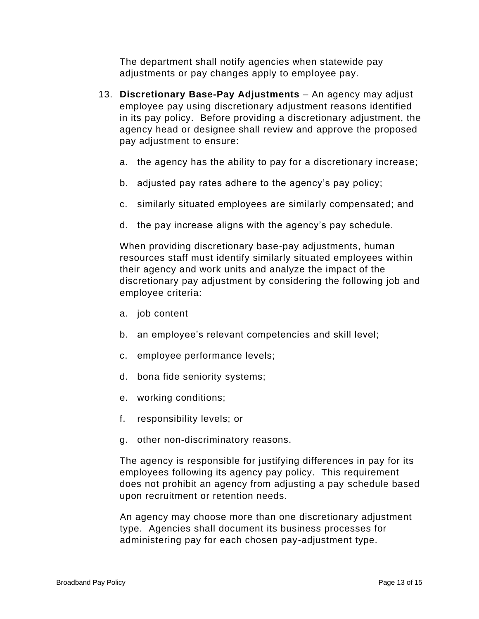The department shall notify agencies when statewide pay adjustments or pay changes apply to employee pay.

- 13. **Discretionary Base-Pay Adjustments** An agency may adjust employee pay using discretionary adjustment reasons identified in its pay policy. Before providing a discretionary adjustment, the agency head or designee shall review and approve the proposed pay adjustment to ensure:
	- a. the agency has the ability to pay for a discretionary increase;
	- b. adjusted pay rates adhere to the agency's pay policy;
	- c. similarly situated employees are similarly compensated; and
	- d. the pay increase aligns with the agency's pay schedule.

When providing discretionary base-pay adjustments, human resources staff must identify similarly situated employees within their agency and work units and analyze the impact of the discretionary pay adjustment by considering the following job and employee criteria:

- a. job content
- b. an employee's relevant competencies and skill level;
- c. employee performance levels;
- d. bona fide seniority systems;
- e. working conditions;
- f. responsibility levels; or
- g. other non-discriminatory reasons.

The agency is responsible for justifying differences in pay for its employees following its agency pay policy. This requirement does not prohibit an agency from adjusting a pay schedule based upon recruitment or retention needs.

An agency may choose more than one discretionary adjustment type. Agencies shall document its business processes for administering pay for each chosen pay-adjustment type.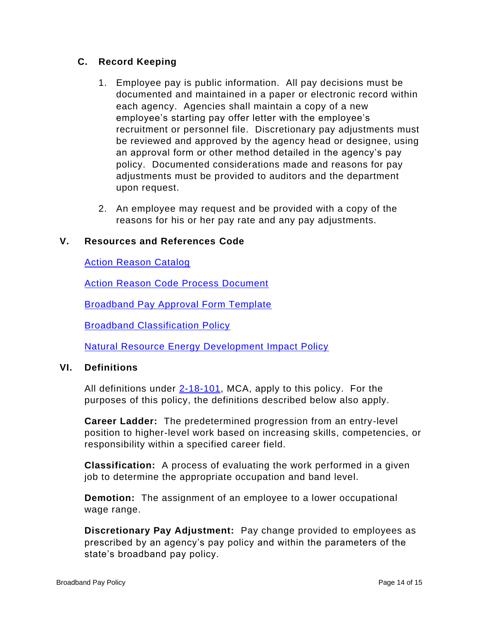### **C. Record Keeping**

- 1. Employee pay is public information. All pay decisions must be documented and maintained in a paper or electronic record within each agency. Agencies shall maintain a copy of a new employee's starting pay offer letter with the employee's recruitment or personnel file. Discretionary pay adjustments must be reviewed and approved by the agency head or designee, using an approval form or other method detailed in the agency's pay policy. Documented considerations made and reasons for pay adjustments must be provided to auditors and the department upon request.
- 2. An employee may request and be provided with a copy of the reasons for his or her pay rate and any pay adjustments.

#### **V. Resources and References Code**

[Action Reason Catalog](https://statehr.custhelp.com/app/answers/detail/a_id/176/)

[Action Reason Code Process Document](https://mine.mt.gov/documentation/sabhrs/hr/new/infocenters/infocenter_actionreason.mcpx)

**[Broadband Pay Approval Form Template](https://mine.mt.gov/documentation/sabhrs/hr/new/infocenters/infocenter_actionreason.mcpx)** 

[Broadband Classification Policy](https://hr.mt.gov/Public/Policies)

[Natural Resource Energy Development Impact Policy](https://hr.mt.gov/Public/Policies)

#### **VI. Definitions**

All definitions under  $2-18-101$ , MCA, apply to this policy. For the purposes of this policy, the definitions described below also apply.

**Career Ladder:** The predetermined progression from an entry-level position to higher-level work based on increasing skills, competencies, or responsibility within a specified career field.

**Classification:** A process of evaluating the work performed in a given job to determine the appropriate occupation and band level.

**Demotion:** The assignment of an employee to a lower occupational wage range.

**Discretionary Pay Adjustment:** Pay change provided to employees as prescribed by an agency's pay policy and within the parameters of the state's broadband pay policy.